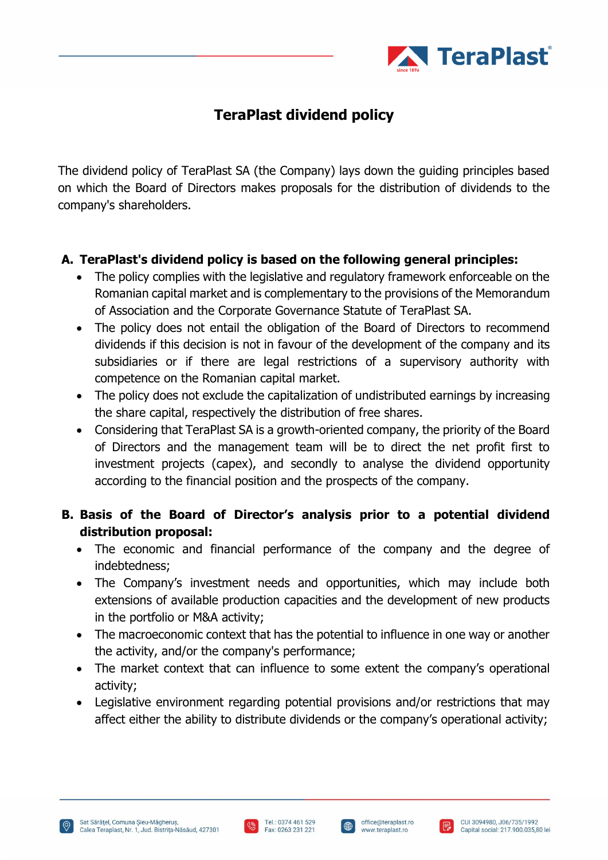

## **TeraPlast dividend policy**

The dividend policy of TeraPlast SA (the Company) lays down the guiding principles based on which the Board of Directors makes proposals for the distribution of dividends to the company's shareholders.

## **A. TeraPlast's dividend policy is based on the following general principles:**

- The policy complies with the legislative and regulatory framework enforceable on the Romanian capital market and is complementary to the provisions of the Memorandum of Association and the Corporate Governance Statute of TeraPlast SA.
- The policy does not entail the obligation of the Board of Directors to recommend dividends if this decision is not in favour of the development of the company and its subsidiaries or if there are legal restrictions of a supervisory authority with competence on the Romanian capital market.
- The policy does not exclude the capitalization of undistributed earnings by increasing the share capital, respectively the distribution of free shares.
- Considering that TeraPlast SA is a growth-oriented company, the priority of the Board of Directors and the management team will be to direct the net profit first to investment projects (capex), and secondly to analyse the dividend opportunity according to the financial position and the prospects of the company.

## **B. Basis of the Board of Director's analysis prior to a potential dividend distribution proposal:**

- The economic and financial performance of the company and the degree of indebtedness;
- The Company's investment needs and opportunities, which may include both extensions of available production capacities and the development of new products in the portfolio or M&A activity;
- The macroeconomic context that has the potential to influence in one way or another the activity, and/or the company's performance;
- The market context that can influence to some extent the company's operational activity;
- Legislative environment regarding potential provisions and/or restrictions that may affect either the ability to distribute dividends or the company's operational activity;





 $\bigoplus$